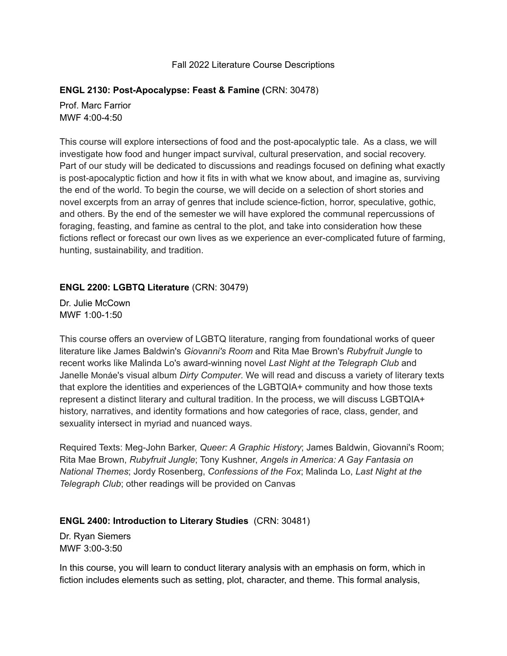#### Fall 2022 Literature Course Descriptions

#### **ENGL 2130: Post-Apocalypse: Feast & Famine (**CRN: 30478)

Prof. Marc Farrior MWF 4:00-4:50

This course will explore intersections of food and the post-apocalyptic tale. As a class, we will investigate how food and hunger impact survival, cultural preservation, and social recovery. Part of our study will be dedicated to discussions and readings focused on defining what exactly is post-apocalyptic fiction and how it fits in with what we know about, and imagine as, surviving the end of the world. To begin the course, we will decide on a selection of short stories and novel excerpts from an array of genres that include science-fiction, horror, speculative, gothic, and others. By the end of the semester we will have explored the communal repercussions of foraging, feasting, and famine as central to the plot, and take into consideration how these fictions reflect or forecast our own lives as we experience an ever-complicated future of farming, hunting, sustainability, and tradition.

### **ENGL 2200: LGBTQ Literature** (CRN: 30479)

Dr. Julie McCown MWF 1:00-1:50

This course offers an overview of LGBTQ literature, ranging from foundational works of queer literature like James Baldwin's *Giovanni's Room* and Rita Mae Brown's *Rubyfruit Jungle* to recent works like Malinda Lo's award-winning novel *Last Night at the Telegraph Club* and Janelle Monáe's visual album *Dirty Computer*. We will read and discuss a variety of literary texts that explore the identities and experiences of the LGBTQIA+ community and how those texts represent a distinct literary and cultural tradition. In the process, we will discuss LGBTQIA+ history, narratives, and identity formations and how categories of race, class, gender, and sexuality intersect in myriad and nuanced ways.

Required Texts: Meg-John Barker, *Queer: A Graphic History*; James Baldwin, Giovanni's Room; Rita Mae Brown, *Rubyfruit Jungle*; Tony Kushner, *Angels in America: A Gay Fantasia on National Themes*; Jordy Rosenberg, *Confessions of the Fox*; Malinda Lo, *Last Night at the Telegraph Club*; other readings will be provided on Canvas

#### **ENGL 2400: Introduction to Literary Studies** (CRN: 30481)

Dr. Ryan Siemers MWF 3:00-3:50

In this course, you will learn to conduct literary analysis with an emphasis on form, which in fiction includes elements such as setting, plot, character, and theme. This formal analysis,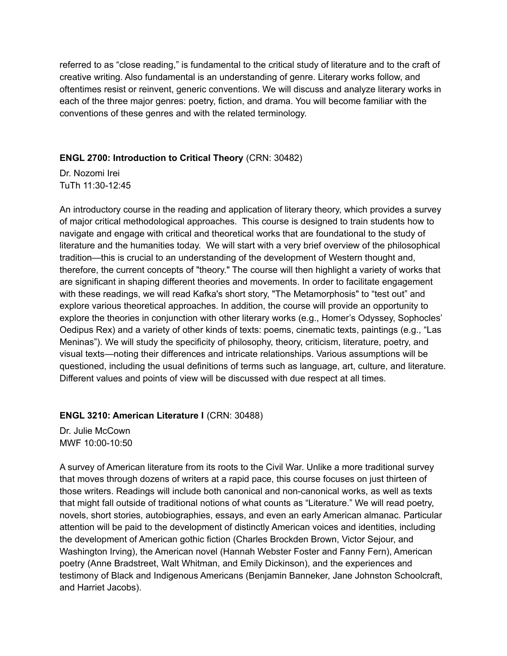referred to as "close reading," is fundamental to the critical study of literature and to the craft of creative writing. Also fundamental is an understanding of genre. Literary works follow, and oftentimes resist or reinvent, generic conventions. We will discuss and analyze literary works in each of the three major genres: poetry, fiction, and drama. You will become familiar with the conventions of these genres and with the related terminology.

# **ENGL 2700: Introduction to Critical Theory** (CRN: 30482)

Dr. Nozomi Irei TuTh 11:30-12:45

An introductory course in the reading and application of literary theory, which provides a survey of major critical methodological approaches. This course is designed to train students how to navigate and engage with critical and theoretical works that are foundational to the study of literature and the humanities today. We will start with a very brief overview of the philosophical tradition—this is crucial to an understanding of the development of Western thought and, therefore, the current concepts of "theory." The course will then highlight a variety of works that are significant in shaping different theories and movements. In order to facilitate engagement with these readings, we will read Kafka's short story, "The Metamorphosis" to "test out" and explore various theoretical approaches. In addition, the course will provide an opportunity to explore the theories in conjunction with other literary works (e.g., Homer's Odyssey, Sophocles' Oedipus Rex) and a variety of other kinds of texts: poems, cinematic texts, paintings (e.g., "Las Meninas"). We will study the specificity of philosophy, theory, criticism, literature, poetry, and visual texts—noting their differences and intricate relationships. Various assumptions will be questioned, including the usual definitions of terms such as language, art, culture, and literature. Different values and points of view will be discussed with due respect at all times.

# **ENGL 3210: American Literature I** (CRN: 30488)

Dr. Julie McCown MWF 10:00-10:50

A survey of American literature from its roots to the Civil War. Unlike a more traditional survey that moves through dozens of writers at a rapid pace, this course focuses on just thirteen of those writers. Readings will include both canonical and non-canonical works, as well as texts that might fall outside of traditional notions of what counts as "Literature." We will read poetry, novels, short stories, autobiographies, essays, and even an early American almanac. Particular attention will be paid to the development of distinctly American voices and identities, including the development of American gothic fiction (Charles Brockden Brown, Victor Sejour, and Washington Irving), the American novel (Hannah Webster Foster and Fanny Fern), American poetry (Anne Bradstreet, Walt Whitman, and Emily Dickinson), and the experiences and testimony of Black and Indigenous Americans (Benjamin Banneker, Jane Johnston Schoolcraft, and Harriet Jacobs).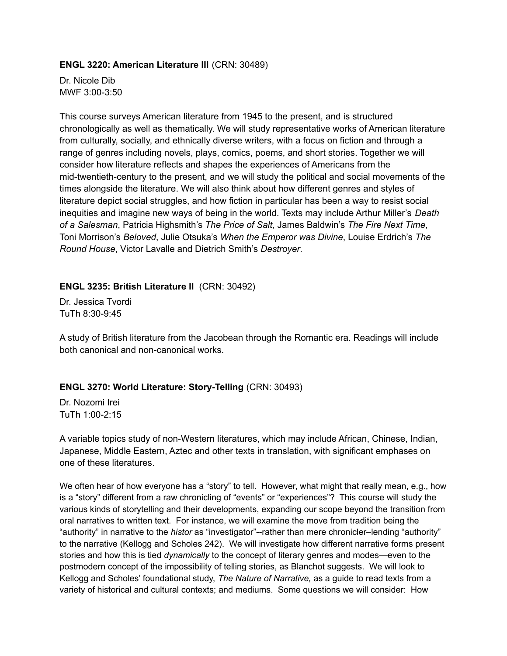#### **ENGL 3220: American Literature III** (CRN: 30489)

Dr. Nicole Dib MWF 3:00-3:50

This course surveys American literature from 1945 to the present, and is structured chronologically as well as thematically. We will study representative works of American literature from culturally, socially, and ethnically diverse writers, with a focus on fiction and through a range of genres including novels, plays, comics, poems, and short stories. Together we will consider how literature reflects and shapes the experiences of Americans from the mid-twentieth-century to the present, and we will study the political and social movements of the times alongside the literature. We will also think about how different genres and styles of literature depict social struggles, and how fiction in particular has been a way to resist social inequities and imagine new ways of being in the world. Texts may include Arthur Miller's *Death of a Salesman*, Patricia Highsmith's *The Price of Salt*, James Baldwin's *The Fire Next Time*, Toni Morrison's *Beloved*, Julie Otsuka's *When the Emperor was Divine*, Louise Erdrich's *The Round House*, Victor Lavalle and Dietrich Smith's *Destroyer*.

### **ENGL 3235: British Literature II** (CRN: 30492)

Dr. Jessica Tvordi TuTh 8:30-9:45

A study of British literature from the Jacobean through the Romantic era. Readings will include both canonical and non-canonical works.

### **ENGL 3270: World Literature: Story-Telling** (CRN: 30493)

Dr. Nozomi Irei TuTh 1:00-2:15

A variable topics study of non-Western literatures, which may include African, Chinese, Indian, Japanese, Middle Eastern, Aztec and other texts in translation, with significant emphases on one of these literatures.

We often hear of how everyone has a "story" to tell. However, what might that really mean, e.g., how is a "story" different from a raw chronicling of "events" or "experiences"? This course will study the various kinds of storytelling and their developments, expanding our scope beyond the transition from oral narratives to written text. For instance, we will examine the move from tradition being the "authority" in narrative to the *histor* as "investigator"--rather than mere chronicler–lending "authority" to the narrative (Kellogg and Scholes 242). We will investigate how different narrative forms present stories and how this is tied *dynamically* to the concept of literary genres and modes—even to the postmodern concept of the impossibility of telling stories, as Blanchot suggests. We will look to Kellogg and Scholes' foundational study, *The Nature of Narrative,* as a guide to read texts from a variety of historical and cultural contexts; and mediums. Some questions we will consider: How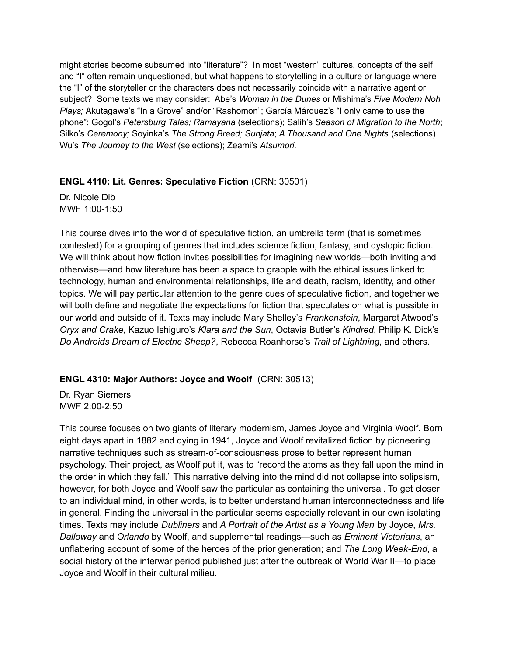might stories become subsumed into "literature"? In most "western" cultures, concepts of the self and "I" often remain unquestioned, but what happens to storytelling in a culture or language where the "I" of the storyteller or the characters does not necessarily coincide with a narrative agent or subject? Some texts we may consider: Abe's *Woman in the Dunes* or Mishima's *Five Modern Noh Plays;* Akutagawa's "In a Grove" and/or "Rashomon"; García Márquez's "I only came to use the phone"; Gogol's *Petersburg Tales; Ramayana* (selections); Salih's *Season of Migration to the North*; Silko's *Ceremony;* Soyinka's *The Strong Breed; Sunjata*; *A Thousand and One Nights* (selections) Wu's *The Journey to the West* (selections); Zeami's *Atsumori.*

## **ENGL 4110: Lit. Genres: Speculative Fiction** (CRN: 30501)

Dr. Nicole Dib MWF 1:00-1:50

This course dives into the world of speculative fiction, an umbrella term (that is sometimes contested) for a grouping of genres that includes science fiction, fantasy, and dystopic fiction. We will think about how fiction invites possibilities for imagining new worlds—both inviting and otherwise—and how literature has been a space to grapple with the ethical issues linked to technology, human and environmental relationships, life and death, racism, identity, and other topics. We will pay particular attention to the genre cues of speculative fiction, and together we will both define and negotiate the expectations for fiction that speculates on what is possible in our world and outside of it. Texts may include Mary Shelley's *Frankenstein*, Margaret Atwood's *Oryx and Crake*, Kazuo Ishiguro's *Klara and the Sun*, Octavia Butler's *Kindred*, Philip K. Dick's *Do Androids Dream of Electric Sheep?*, Rebecca Roanhorse's *Trail of Lightning*, and others.

# **ENGL 4310: Major Authors: Joyce and Woolf** (CRN: 30513)

Dr. Ryan Siemers MWF 2:00-2:50

This course focuses on two giants of literary modernism, James Joyce and Virginia Woolf. Born eight days apart in 1882 and dying in 1941, Joyce and Woolf revitalized fiction by pioneering narrative techniques such as stream-of-consciousness prose to better represent human psychology. Their project, as Woolf put it, was to "record the atoms as they fall upon the mind in the order in which they fall." This narrative delving into the mind did not collapse into solipsism, however, for both Joyce and Woolf saw the particular as containing the universal. To get closer to an individual mind, in other words, is to better understand human interconnectedness and life in general. Finding the universal in the particular seems especially relevant in our own isolating times. Texts may include *Dubliners* and *A Portrait of the Artist as a Young Man* by Joyce, *Mrs. Dalloway* and *Orlando* by Woolf, and supplemental readings—such as *Eminent Victorians*, an unflattering account of some of the heroes of the prior generation; and *The Long Week-End*, a social history of the interwar period published just after the outbreak of World War II—to place Joyce and Woolf in their cultural milieu.